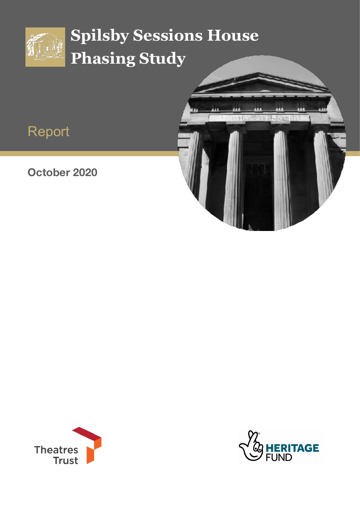

# **Spilsby Sessions House Phasing Study**

# Report

### **October 2020**





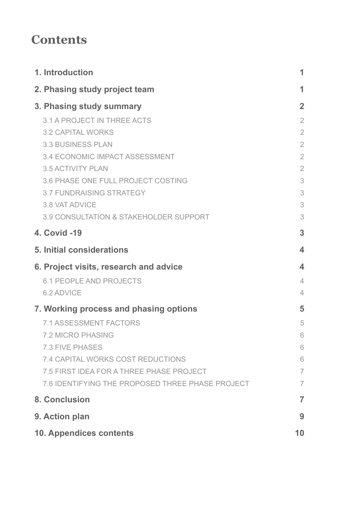### **Contents**

|                                        | 1. Introduction                                   | 1                       |  |
|----------------------------------------|---------------------------------------------------|-------------------------|--|
|                                        | 2. Phasing study project team                     | 1                       |  |
|                                        | 3. Phasing study summary                          | $\overline{2}$          |  |
|                                        | <b>3.1 A PROJECT IN THREE ACTS</b>                | $\overline{2}$          |  |
|                                        | <b>3.2 CAPITAL WORKS</b>                          | $\overline{2}$          |  |
|                                        | <b>3.3 BUSINESS PLAN</b>                          | $\overline{2}$          |  |
|                                        | 3.4 ECONOMIC IMPACT ASSESSMENT                    | $\overline{2}$          |  |
|                                        | <b>3.5 ACTIVITY PLAN</b>                          | $\overline{2}$          |  |
|                                        | 3.6 PHASE ONE FULL PROJECT COSTING                | 3                       |  |
|                                        | <b>3.7 FUNDRAISING STRATEGY</b>                   | 3                       |  |
|                                        | 3.8 VAT ADVICE                                    | 3                       |  |
|                                        | <b>3.9 CONSULTATION &amp; STAKEHOLDER SUPPORT</b> | 3                       |  |
|                                        | <b>4. Covid -19</b>                               | 3                       |  |
|                                        | 5. Initial considerations                         | $\overline{\mathbf{4}}$ |  |
|                                        | 6. Project visits, research and advice            | $\blacktriangle$        |  |
|                                        | <b>6.1 PEOPLE AND PROJECTS</b>                    | $\overline{4}$          |  |
|                                        | 6.2 ADVICE                                        | $\overline{4}$          |  |
| 7. Working process and phasing options |                                                   |                         |  |
|                                        | <b>7.1 ASSESSMENT FACTORS</b>                     | 5                       |  |
|                                        | <b>7.2 MICRO PHASING</b>                          | 6                       |  |
|                                        | <b>7.3 FIVE PHASES</b>                            | 6                       |  |
|                                        | <b>7.4 CAPITAL WORKS COST REDUCTIONS</b>          | 6                       |  |
|                                        | 7.5 FIRST IDEA FOR A THREE PHASE PROJECT          | $\overline{7}$          |  |
|                                        | 7.6 IDENTIFYING THE PROPOSED THREE PHASE PROJECT  | $\overline{7}$          |  |
| <b>8. Conclusion</b>                   |                                                   |                         |  |
| 9. Action plan                         |                                                   |                         |  |
| <b>10. Appendices contents</b>         |                                                   |                         |  |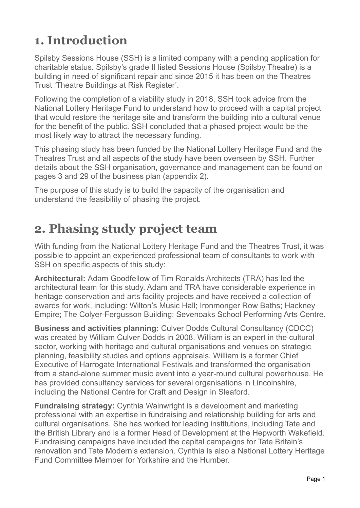### <span id="page-2-0"></span>**1. Introduction**

Spilsby Sessions House (SSH) is a limited company with a pending application for charitable status. Spilsby's grade II listed Sessions House (Spilsby Theatre) is a building in need of significant repair and since 2015 it has been on the Theatres Trust 'Theatre Buildings at Risk Register'.

Following the completion of a viability study in 2018, SSH took advice from the National Lottery Heritage Fund to understand how to proceed with a capital project that would restore the heritage site and transform the building into a cultural venue for the benefit of the public. SSH concluded that a phased project would be the most likely way to attract the necessary funding.

This phasing study has been funded by the National Lottery Heritage Fund and the Theatres Trust and all aspects of the study have been overseen by SSH. Further details about the SSH organisation, governance and management can be found on pages 3 and 29 of the business plan (appendix 2).

The purpose of this study is to build the capacity of the organisation and understand the feasibility of phasing the project.

### <span id="page-2-1"></span>**2. Phasing study project team**

With funding from the National Lottery Heritage Fund and the Theatres Trust, it was possible to appoint an experienced professional team of consultants to work with SSH on specific aspects of this study:

**Architectural:** Adam Goodfellow of Tim Ronalds Architects (TRA) has led the architectural team for this study. Adam and TRA have considerable experience in heritage conservation and arts facility projects and have received a collection of awards for work, including: Wilton's Music Hall; Ironmonger Row Baths; Hackney Empire; The Colyer-Fergusson Building; Sevenoaks School Performing Arts Centre.

**Business and activities planning:** Culver Dodds Cultural Consultancy (CDCC) was created by William Culver-Dodds in 2008. William is an expert in the cultural sector, working with heritage and cultural organisations and venues on strategic planning, feasibility studies and options appraisals. William is a former Chief Executive of Harrogate International Festivals and transformed the organisation from a stand-alone summer music event into a year-round cultural powerhouse. He has provided consultancy services for several organisations in Lincolnshire, including the National Centre for Craft and Design in Sleaford.

**Fundraising strategy:** Cynthia Wainwright is a development and marketing professional with an expertise in fundraising and relationship building for arts and cultural organisations. She has worked for leading institutions, including Tate and the British Library and is a former Head of Development at the Hepworth Wakefield. Fundraising campaigns have included the capital campaigns for Tate Britain's renovation and Tate Modern's extension. Cynthia is also a National Lottery Heritage Fund Committee Member for Yorkshire and the Humber.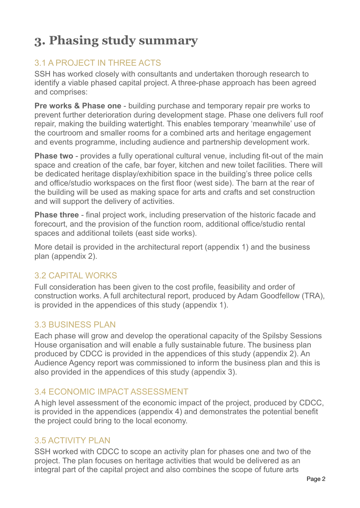# <span id="page-3-0"></span>**3. Phasing study summary**

#### <span id="page-3-1"></span>3.1 A PROJECT IN THREE ACTS

SSH has worked closely with consultants and undertaken thorough research to identify a viable phased capital project. A three-phase approach has been agreed and comprises:

**Pre works & Phase one** - building purchase and temporary repair pre works to prevent further deterioration during development stage. Phase one delivers full roof repair, making the building watertight. This enables temporary 'meanwhile' use of the courtroom and smaller rooms for a combined arts and heritage engagement and events programme, including audience and partnership development work.

**Phase two** - provides a fully operational cultural venue, including fit-out of the main space and creation of the cafe, bar foyer, kitchen and new toilet facilities. There will be dedicated heritage display/exhibition space in the building's three police cells and office/studio workspaces on the first floor (west side). The barn at the rear of the building will be used as making space for arts and crafts and set construction and will support the delivery of activities.

**Phase three** - final project work, including preservation of the historic facade and forecourt, and the provision of the function room, additional office/studio rental spaces and additional toilets (east side works).

More detail is provided in the architectural report (appendix 1) and the business plan (appendix 2).

#### <span id="page-3-2"></span>3.2 CAPITAL WORKS

Full consideration has been given to the cost profile, feasibility and order of construction works. A full architectural report, produced by Adam Goodfellow (TRA), is provided in the appendices of this study (appendix 1).

#### <span id="page-3-3"></span>**3.3 BUSINESS PLAN**

Each phase will grow and develop the operational capacity of the Spilsby Sessions House organisation and will enable a fully sustainable future. The business plan produced by CDCC is provided in the appendices of this study (appendix 2). An Audience Agency report was commissioned to inform the business plan and this is also provided in the appendices of this study (appendix 3).

#### <span id="page-3-4"></span>3.4 ECONOMIC IMPACT ASSESSMENT

A high level assessment of the economic impact of the project, produced by CDCC, is provided in the appendices (appendix 4) and demonstrates the potential benefit the project could bring to the local economy.

#### <span id="page-3-5"></span>3.5 ACTIVITY PLAN

SSH worked with CDCC to scope an activity plan for phases one and two of the project. The plan focuses on heritage activities that would be delivered as an integral part of the capital project and also combines the scope of future arts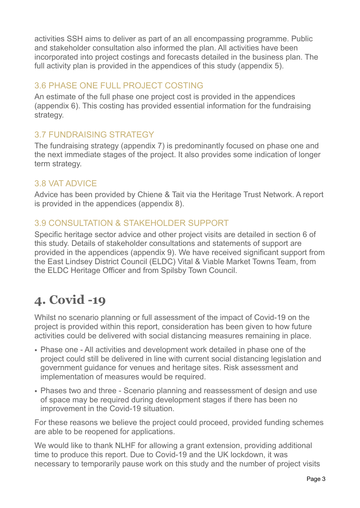activities SSH aims to deliver as part of an all encompassing programme. Public and stakeholder consultation also informed the plan. All activities have been incorporated into project costings and forecasts detailed in the business plan. The full activity plan is provided in the appendices of this study (appendix 5).

### <span id="page-4-0"></span>3.6 PHASE ONE FULL PROJECT COSTING

An estimate of the full phase one project cost is provided in the appendices (appendix 6). This costing has provided essential information for the fundraising strategy.

### <span id="page-4-1"></span>3.7 FUNDRAISING STRATEGY

The fundraising strategy (appendix 7) is predominantly focused on phase one and the next immediate stages of the project. It also provides some indication of longer term strategy.

### <span id="page-4-2"></span>3.8 VAT ADVICE

Advice has been provided by Chiene & Tait via the Heritage Trust Network. A report is provided in the appendices (appendix 8).

### <span id="page-4-3"></span>3.9 CONSULTATION & STAKEHOLDER SUPPORT

Specific heritage sector advice and other project visits are detailed in section 6 of this study. Details of stakeholder consultations and statements of support are provided in the appendices (appendix 9). We have received significant support from the East Lindsey District Council (ELDC) Vital & Viable Market Towns Team, from the ELDC Heritage Officer and from Spilsby Town Council.

### <span id="page-4-4"></span>**4. Covid -19**

Whilst no scenario planning or full assessment of the impact of Covid-19 on the project is provided within this report, consideration has been given to how future activities could be delivered with social distancing measures remaining in place.

- Phase one All activities and development work detailed in phase one of the project could still be delivered in line with current social distancing legislation and government guidance for venues and heritage sites. Risk assessment and implementation of measures would be required.
- Phases two and three Scenario planning and reassessment of design and use of space may be required during development stages if there has been no improvement in the Covid-19 situation.

For these reasons we believe the project could proceed, provided funding schemes are able to be reopened for applications.

We would like to thank NLHF for allowing a grant extension, providing additional time to produce this report. Due to Covid-19 and the UK lockdown, it was necessary to temporarily pause work on this study and the number of project visits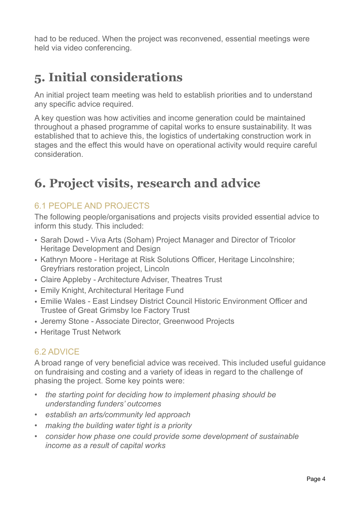had to be reduced. When the project was reconvened, essential meetings were held via video conferencing.

### <span id="page-5-0"></span>**5. Initial considerations**

An initial project team meeting was held to establish priorities and to understand any specific advice required.

A key question was how activities and income generation could be maintained throughout a phased programme of capital works to ensure sustainability. It was established that to achieve this, the logistics of undertaking construction work in stages and the effect this would have on operational activity would require careful consideration.

### <span id="page-5-1"></span>**6. Project visits, research and advice**

### <span id="page-5-2"></span>6.1 PEOPLE AND PROJECTS

The following people/organisations and projects visits provided essential advice to inform this study. This included:

- Sarah Dowd Viva Arts (Soham) Project Manager and Director of Tricolor Heritage Development and Design
- Kathryn Moore Heritage at Risk Solutions Officer, Heritage Lincolnshire; Greyfriars restoration project, Lincoln
- Claire Appleby Architecture Adviser, Theatres Trust
- Emily Knight, Architectural Heritage Fund
- Emilie Wales East Lindsey District Council Historic Environment Officer and Trustee of Great Grimsby Ice Factory Trust
- Jeremy Stone Associate Director, Greenwood Projects
- Heritage Trust Network

### <span id="page-5-3"></span>6.2 ADVICE

A broad range of very beneficial advice was received. This included useful guidance on fundraising and costing and a variety of ideas in regard to the challenge of phasing the project. Some key points were:

- *• the starting point for deciding how to implement phasing should be understanding funders' outcomes*
- *• establish an arts/community led approach*
- *• making the building water tight is a priority*
- *• consider how phase one could provide some development of sustainable income as a result of capital works*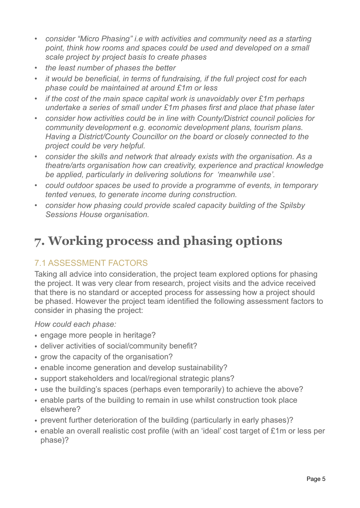- *• consider "Micro Phasing" i.e with activities and community need as a starting point, think how rooms and spaces could be used and developed on a small scale project by project basis to create phases*
- *• the least number of phases the better*
- *• it would be beneficial, in terms of fundraising, if the full project cost for each phase could be maintained at around £1m or less*
- *• if the cost of the main space capital work is unavoidably over £1m perhaps undertake a series of small under £1m phases first and place that phase later*
- *• consider how activities could be in line with County/District council policies for community development e.g. economic development plans, tourism plans. Having a District/County Councillor on the board or closely connected to the project could be very helpful.*
- *• consider the skills and network that already exists with the organisation. As a theatre/arts organisation how can creativity, experience and practical knowledge be applied, particularly in delivering solutions for 'meanwhile use'.*
- *• could outdoor spaces be used to provide a programme of events, in temporary tented venues, to generate income during construction.*
- *• consider how phasing could provide scaled capacity building of the Spilsby Sessions House organisation.*

### <span id="page-6-0"></span>**7. Working process and phasing options**

### <span id="page-6-1"></span>7.1 ASSESSMENT FACTORS

Taking all advice into consideration, the project team explored options for phasing the project. It was very clear from research, project visits and the advice received that there is no standard or accepted process for assessing how a project should be phased. However the project team identified the following assessment factors to consider in phasing the project:

*How could each phase:* 

- engage more people in heritage?
- deliver activities of social/community benefit?
- grow the capacity of the organisation?
- enable income generation and develop sustainability?
- support stakeholders and local/regional strategic plans?
- use the building's spaces (perhaps even temporarily) to achieve the above?
- enable parts of the building to remain in use whilst construction took place elsewhere?
- prevent further deterioration of the building (particularly in early phases)?
- enable an overall realistic cost profile (with an 'ideal' cost target of £1m or less per phase)?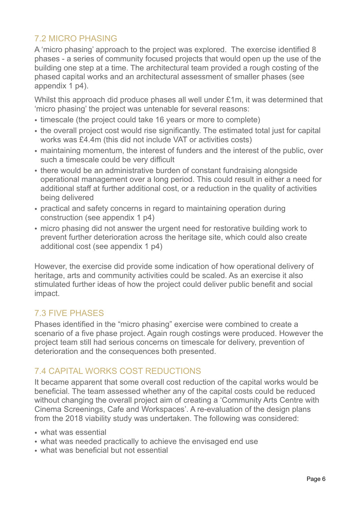### <span id="page-7-0"></span>7.2 MICRO PHASING

A 'micro phasing' approach to the project was explored. The exercise identified 8 phases - a series of community focused projects that would open up the use of the building one step at a time. The architectural team provided a rough costing of the phased capital works and an architectural assessment of smaller phases (see appendix 1 p4).

Whilst this approach did produce phases all well under £1m, it was determined that 'micro phasing' the project was untenable for several reasons:

- timescale (the project could take 16 years or more to complete)
- the overall project cost would rise significantly. The estimated total just for capital works was £4.4m (this did not include VAT or activities costs)
- maintaining momentum, the interest of funders and the interest of the public, over such a timescale could be very difficult
- there would be an administrative burden of constant fundraising alongside operational management over a long period. This could result in either a need for additional staff at further additional cost, or a reduction in the quality of activities being delivered
- practical and safety concerns in regard to maintaining operation during construction (see appendix 1 p4)
- micro phasing did not answer the urgent need for restorative building work to prevent further deterioration across the heritage site, which could also create additional cost (see appendix 1 p4)

However, the exercise did provide some indication of how operational delivery of heritage, arts and community activities could be scaled. As an exercise it also stimulated further ideas of how the project could deliver public benefit and social impact.

#### <span id="page-7-1"></span>7.3 FIVE PHASES

Phases identified in the "micro phasing" exercise were combined to create a scenario of a five phase project. Again rough costings were produced. However the project team still had serious concerns on timescale for delivery, prevention of deterioration and the consequences both presented.

#### <span id="page-7-2"></span>7.4 CAPITAL WORKS COST REDUCTIONS

It became apparent that some overall cost reduction of the capital works would be beneficial. The team assessed whether any of the capital costs could be reduced without changing the overall project aim of creating a 'Community Arts Centre with Cinema Screenings, Cafe and Workspaces'. A re-evaluation of the design plans from the 2018 viability study was undertaken. The following was considered:

- what was essential
- what was needed practically to achieve the envisaged end use
- what was beneficial but not essential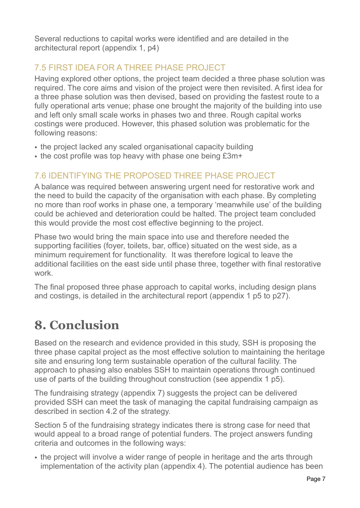Several reductions to capital works were identified and are detailed in the architectural report (appendix 1, p4)

### <span id="page-8-0"></span>7.5 FIRST IDEA FOR A THREE PHASE PROJECT

Having explored other options, the project team decided a three phase solution was required. The core aims and vision of the project were then revisited. A first idea for a three phase solution was then devised, based on providing the fastest route to a fully operational arts venue; phase one brought the majority of the building into use and left only small scale works in phases two and three. Rough capital works costings were produced. However, this phased solution was problematic for the following reasons:

- the project lacked any scaled organisational capacity building
- the cost profile was top heavy with phase one being £3m+

### <span id="page-8-1"></span>7.6 IDENTIFYING THE PROPOSED THREE PHASE PROJECT

A balance was required between answering urgent need for restorative work and the need to build the capacity of the organisation with each phase. By completing no more than roof works in phase one, a temporary 'meanwhile use' of the building could be achieved and deterioration could be halted. The project team concluded this would provide the most cost effective beginning to the project.

Phase two would bring the main space into use and therefore needed the supporting facilities (foyer, toilets, bar, office) situated on the west side, as a minimum requirement for functionality. It was therefore logical to leave the additional facilities on the east side until phase three, together with final restorative work.

The final proposed three phase approach to capital works, including design plans and costings, is detailed in the architectural report (appendix 1 p5 to p27).

## <span id="page-8-2"></span>**8. Conclusion**

Based on the research and evidence provided in this study, SSH is proposing the three phase capital project as the most effective solution to maintaining the heritage site and ensuring long term sustainable operation of the cultural facility. The approach to phasing also enables SSH to maintain operations through continued use of parts of the building throughout construction (see appendix 1 p5).

The fundraising strategy (appendix 7) suggests the project can be delivered provided SSH can meet the task of managing the capital fundraising campaign as described in section 4.2 of the strategy.

Section 5 of the fundraising strategy indicates there is strong case for need that would appeal to a broad range of potential funders. The project answers funding criteria and outcomes in the following ways:

• the project will involve a wider range of people in heritage and the arts through implementation of the activity plan (appendix 4). The potential audience has been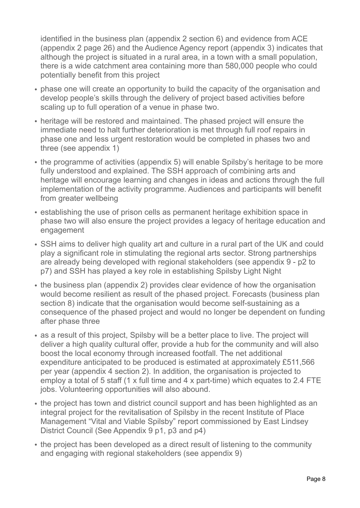identified in the business plan (appendix 2 section 6) and evidence from ACE (appendix 2 page 26) and the Audience Agency report (appendix 3) indicates that although the project is situated in a rural area, in a town with a small population, there is a wide catchment area containing more than 580,000 people who could potentially benefit from this project

- phase one will create an opportunity to build the capacity of the organisation and develop people's skills through the delivery of project based activities before scaling up to full operation of a venue in phase two.
- heritage will be restored and maintained. The phased project will ensure the immediate need to halt further deterioration is met through full roof repairs in phase one and less urgent restoration would be completed in phases two and three (see appendix 1)
- the programme of activities (appendix 5) will enable Spilsby's heritage to be more fully understood and explained. The SSH approach of combining arts and heritage will encourage learning and changes in ideas and actions through the full implementation of the activity programme. Audiences and participants will benefit from greater wellbeing
- establishing the use of prison cells as permanent heritage exhibition space in phase two will also ensure the project provides a legacy of heritage education and engagement
- SSH aims to deliver high quality art and culture in a rural part of the UK and could play a significant role in stimulating the regional arts sector. Strong partnerships are already being developed with regional stakeholders (see appendix 9 - p2 to p7) and SSH has played a key role in establishing Spilsby Light Night
- the business plan (appendix 2) provides clear evidence of how the organisation would become resilient as result of the phased project. Forecasts (business plan section 8) indicate that the organisation would become self-sustaining as a consequence of the phased project and would no longer be dependent on funding after phase three
- as a result of this project, Spilsby will be a better place to live. The project will deliver a high quality cultural offer, provide a hub for the community and will also boost the local economy through increased footfall. The net additional expenditure anticipated to be produced is estimated at approximately £511,566 per year (appendix 4 section 2). In addition, the organisation is projected to employ a total of 5 staff (1 x full time and 4 x part-time) which equates to 2.4 FTE jobs. Volunteering opportunities will also abound.
- the project has town and district council support and has been highlighted as an integral project for the revitalisation of Spilsby in the recent Institute of Place Management "Vital and Viable Spilsby" report commissioned by East Lindsey District Council (See Appendix 9 p1, p3 and p4)
- the project has been developed as a direct result of listening to the community and engaging with regional stakeholders (see appendix 9)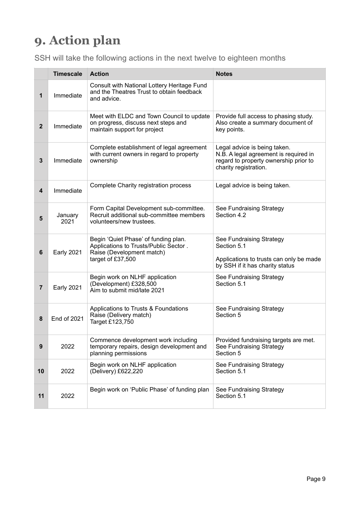# <span id="page-10-0"></span>**9. Action plan**

SSH will take the following actions in the next twelve to eighteen months

|                         | <b>Timescale</b>   | <b>Action</b>                                                                                                                   | <b>Notes</b>                                                                                                                            |
|-------------------------|--------------------|---------------------------------------------------------------------------------------------------------------------------------|-----------------------------------------------------------------------------------------------------------------------------------------|
| 1                       | Immediate          | Consult with National Lottery Heritage Fund<br>and the Theatres Trust to obtain feedback<br>and advice.                         |                                                                                                                                         |
| $\overline{2}$          | Immediate          | Meet with ELDC and Town Council to update<br>on progress, discuss next steps and<br>maintain support for project                | Provide full access to phasing study.<br>Also create a summary document of<br>key points.                                               |
| 3                       | Immediate          | Complete establishment of legal agreement<br>with current owners in regard to property<br>ownership                             | Legal advice is being taken.<br>N.B. A legal agreement is required in<br>regard to property ownership prior to<br>charity registration. |
| $\overline{\mathbf{4}}$ | Immediate          | Complete Charity registration process                                                                                           | Legal advice is being taken.                                                                                                            |
| 5                       | January<br>2021    | Form Capital Development sub-committee.<br>Recruit additional sub-committee members<br>volunteers/new trustees.                 | See Fundraising Strategy<br>Section 4.2                                                                                                 |
| 6                       | <b>Early 2021</b>  | Begin 'Quiet Phase' of funding plan.<br>Applications to Trusts/Public Sector.<br>Raise (Development match)<br>target of £37,500 | See Fundraising Strategy<br>Section 5.1<br>Applications to trusts can only be made<br>by SSH if it has charity status                   |
| $\overline{7}$          | <b>Early 2021</b>  | Begin work on NLHF application<br>(Development) £328,500<br>Aim to submit mid/late 2021                                         | See Fundraising Strategy<br>Section 5.1                                                                                                 |
| 8                       | <b>End of 2021</b> | Applications to Trusts & Foundations<br>Raise (Delivery match)<br>Target £123,750                                               | See Fundraising Strategy<br>Section 5                                                                                                   |
| 9                       | 2022               | Commence development work including<br>temporary repairs, design development and<br>planning permissions                        | Provided fundraising targets are met.<br>See Fundraising Strategy<br>Section 5                                                          |
| 10                      | 2022               | Begin work on NLHF application<br>(Delivery) £622,220                                                                           | See Fundraising Strategy<br>Section 5.1                                                                                                 |
| 11                      | 2022               | Begin work on 'Public Phase' of funding plan                                                                                    | See Fundraising Strategy<br>Section 5.1                                                                                                 |